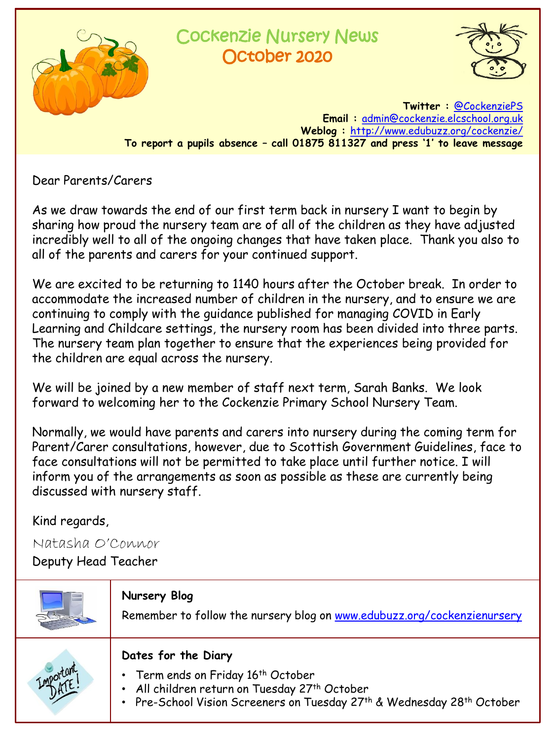

## Cockenzie Nursery News October 2020



**Twitter :** [@CockenziePS](https://twitter.com/CockenziePS) **Email :** [admin@cockenzie.elcschool.org.uk](mailto:admin@cockenzie.elcschool.org.uk) **Weblog :** <http://www.edubuzz.org/cockenzie/> **To report a pupils absence – call 01875 811327 and press '1' to leave message**

Dear Parents/Carers

As we draw towards the end of our first term back in nursery I want to begin by sharing how proud the nursery team are of all of the children as they have adjusted incredibly well to all of the ongoing changes that have taken place. Thank you also to all of the parents and carers for your continued support.

We are excited to be returning to 1140 hours after the October break. In order to accommodate the increased number of children in the nursery, and to ensure we are continuing to comply with the guidance published for managing COVID in Early Learning and Childcare settings, the nursery room has been divided into three parts. The nursery team plan together to ensure that the experiences being provided for the children are equal across the nursery.

We will be joined by a new member of staff next term, Sarah Banks. We look forward to welcoming her to the Cockenzie Primary School Nursery Team.

Normally, we would have parents and carers into nursery during the coming term for Parent/Carer consultations, however, due to Scottish Government Guidelines, face to face consultations will not be permitted to take place until further notice. I will inform you of the arrangements as soon as possible as these are currently being discussed with nursery staff.

Kind regards,

Natasha O'Connor

Deputy Head Teacher

| Nursery Blog<br>Remember to follow the nursery blog on www.edubuzz.org/cockenzienursery                                                                                              |
|--------------------------------------------------------------------------------------------------------------------------------------------------------------------------------------|
| Dates for the Diary<br>• Term ends on Friday 16th October<br>• All children return on Tuesday 27th October<br>• Pre-School Vision Screeners on Tuesday 27th & Wednesday 28th October |